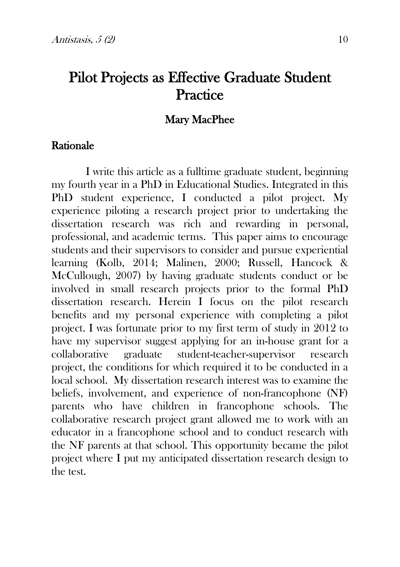# Pilot Projects as Effective Graduate Student **Practice**

## Mary MacPhee

#### Rationale

I write this article as a fulltime graduate student, beginning my fourth year in a PhD in Educational Studies. Integrated in this PhD student experience, I conducted a pilot project. My experience piloting a research project prior to undertaking the dissertation research was rich and rewarding in personal, professional, and academic terms. This paper aims to encourage students and their supervisors to consider and pursue experiential learning (Kolb, 2014; Malinen, 2000; Russell, Hancock & McCullough, 2007) by having graduate students conduct or be involved in small research projects prior to the formal PhD dissertation research. Herein I focus on the pilot research benefits and my personal experience with completing a pilot project. I was fortunate prior to my first term of study in 2012 to have my supervisor suggest applying for an in-house grant for a collaborative graduate student-teacher-supervisor research project, the conditions for which required it to be conducted in a local school. My dissertation research interest was to examine the beliefs, involvement, and experience of non-francophone (NF) parents who have children in francophone schools. The collaborative research project grant allowed me to work with an educator in a francophone school and to conduct research with the NF parents at that school. This opportunity became the pilot project where I put my anticipated dissertation research design to the test.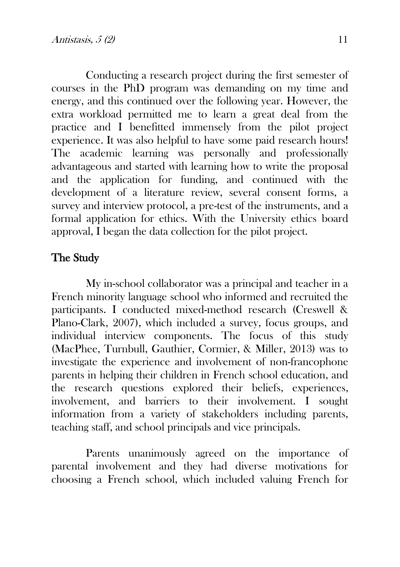Conducting a research project during the first semester of courses in the PhD program was demanding on my time and energy, and this continued over the following year. However, the extra workload permitted me to learn a great deal from the practice and I benefitted immensely from the pilot project experience. It was also helpful to have some paid research hours! The academic learning was personally and professionally advantageous and started with learning how to write the proposal and the application for funding, and continued with the development of a literature review, several consent forms, a survey and interview protocol, a pre-test of the instruments, and a formal application for ethics. With the University ethics board approval, I began the data collection for the pilot project.

# The Study

My in-school collaborator was a principal and teacher in a French minority language school who informed and recruited the participants. I conducted mixed-method research (Creswell & Plano-Clark, 2007), which included a survey, focus groups, and individual interview components. The focus of this study (MacPhee, Turnbull, Gauthier, Cormier, & Miller, 2013) was to investigate the experience and involvement of non-francophone parents in helping their children in French school education, and the research questions explored their beliefs, experiences, involvement, and barriers to their involvement. I sought information from a variety of stakeholders including parents, teaching staff, and school principals and vice principals.

Parents unanimously agreed on the importance of parental involvement and they had diverse motivations for choosing a French school, which included valuing French for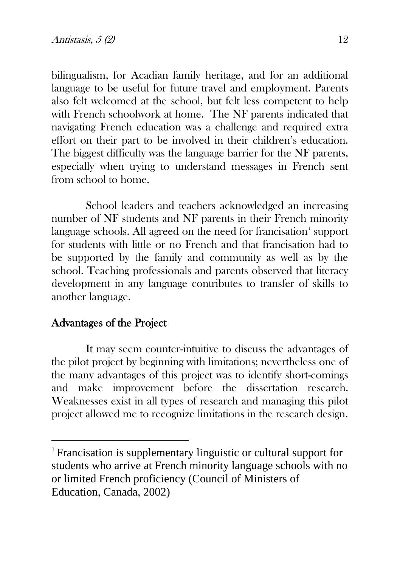bilingualism, for Acadian family heritage, and for an additional language to be useful for future travel and employment. Parents also felt welcomed at the school, but felt less competent to help with French schoolwork at home. The NF parents indicated that navigating French education was a challenge and required extra effort on their part to be involved in their children's education. The biggest difficulty was the language barrier for the NF parents, especially when trying to understand messages in French sent from school to home.

School leaders and teachers acknowledged an increasing number of NF students and NF parents in their French minority language schools. All agreed on the need for francisation $^{\scriptscriptstyle\rm I}$  support for students with little or no French and that francisation had to be supported by the family and community as well as by the school. Teaching professionals and parents observed that literacy development in any language contributes to transfer of skills to another language.

### Advantages of the Project

It may seem counter-intuitive to discuss the advantages of the pilot project by beginning with limitations; nevertheless one of the many advantages of this project was to identify short-comings and make improvement before the dissertation research. Weaknesses exist in all types of research and managing this pilot project allowed me to recognize limitations in the research design.

<span id="page-2-0"></span> <sup>1</sup> Francisation is supplementary linguistic or cultural support for students who arrive at French minority language schools with no or limited French proficiency (Council of Ministers of Education, Canada, 2002)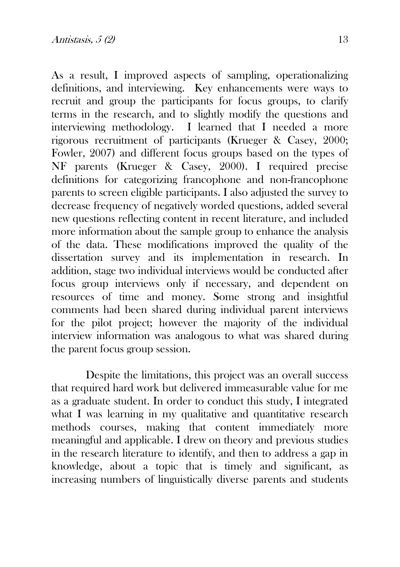As a result, I improved aspects of sampling, operationalizing definitions, and interviewing. Key enhancements were ways to recruit and group the participants for focus groups, to clarify terms in the research, and to slightly modify the questions and interviewing methodology. I learned that I needed a more rigorous recruitment of participants (Krueger & Casey, 2000; Fowler, 2007) and different focus groups based on the types of NF parents (Krueger & Casey, 2000). I required precise definitions for categorizing francophone and non-francophone parents to screen eligible participants. I also adjusted the survey to decrease frequency of negatively worded questions, added several new questions reflecting content in recent literature, and included more information about the sample group to enhance the analysis of the data. These modifications improved the quality of the dissertation survey and its implementation in research. In addition, stage two individual interviews would be conducted after focus group interviews only if necessary, and dependent on resources of time and money. Some strong and insightful comments had been shared during individual parent interviews for the pilot project; however the majority of the individual interview information was analogous to what was shared during the parent focus group session.

Despite the limitations, this project was an overall success that required hard work but delivered immeasurable value for me as a graduate student. In order to conduct this study, I integrated what I was learning in my qualitative and quantitative research methods courses, making that content immediately more meaningful and applicable. I drew on theory and previous studies in the research literature to identify, and then to address a gap in knowledge, about a topic that is timely and significant, as increasing numbers of linguistically diverse parents and students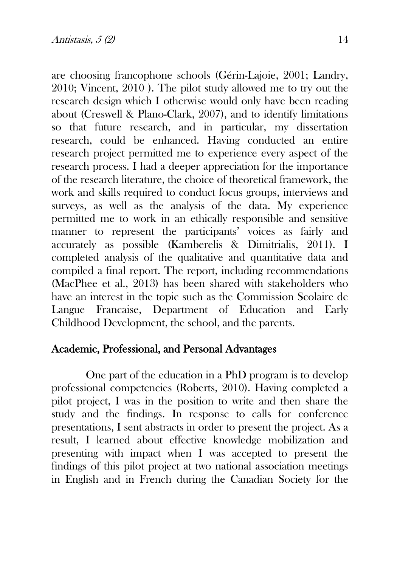are choosing francophone schools (Gérin-Lajoie, 2001; Landry, 2010; Vincent, 2010 ). The pilot study allowed me to try out the research design which I otherwise would only have been reading about (Creswell & Plano-Clark, 2007), and to identify limitations so that future research, and in particular, my dissertation research, could be enhanced. Having conducted an entire research project permitted me to experience every aspect of the research process. I had a deeper appreciation for the importance of the research literature, the choice of theoretical framework, the work and skills required to conduct focus groups, interviews and surveys, as well as the analysis of the data. My experience permitted me to work in an ethically responsible and sensitive manner to represent the participants' voices as fairly and accurately as possible (Kamberelis & Dimitrialis, 2011). I completed analysis of the qualitative and quantitative data and compiled a final report. The report, including recommendations (MacPhee et al., 2013) has been shared with stakeholders who have an interest in the topic such as the Commission Scolaire de Langue Francaise, Department of Education and Early Childhood Development, the school, and the parents.

### Academic, Professional, and Personal Advantages

One part of the education in a PhD program is to develop professional competencies (Roberts, 2010). Having completed a pilot project, I was in the position to write and then share the study and the findings. In response to calls for conference presentations, I sent abstracts in order to present the project. As a result, I learned about effective knowledge mobilization and presenting with impact when I was accepted to present the findings of this pilot project at two national association meetings in English and in French during the Canadian Society for the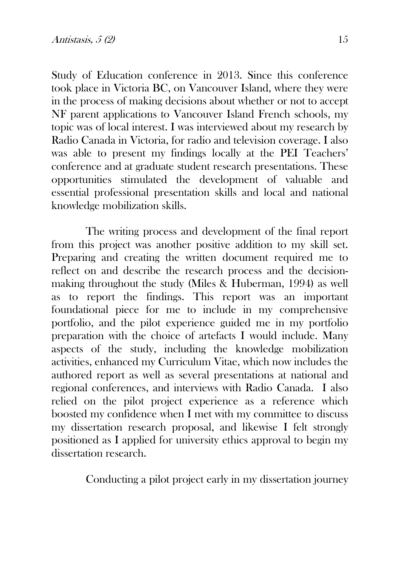Study of Education conference in 2013. Since this conference took place in Victoria BC, on Vancouver Island, where they were in the process of making decisions about whether or not to accept NF parent applications to Vancouver Island French schools, my topic was of local interest. I was interviewed about my research by Radio Canada in Victoria, for radio and television coverage. I also was able to present my findings locally at the PEI Teachers' conference and at graduate student research presentations. These opportunities stimulated the development of valuable and essential professional presentation skills and local and national knowledge mobilization skills.

The writing process and development of the final report from this project was another positive addition to my skill set. Preparing and creating the written document required me to reflect on and describe the research process and the decisionmaking throughout the study (Miles & Huberman, 1994) as well as to report the findings. This report was an important foundational piece for me to include in my comprehensive portfolio, and the pilot experience guided me in my portfolio preparation with the choice of artefacts I would include. Many aspects of the study, including the knowledge mobilization activities, enhanced my Curriculum Vitae, which now includes the authored report as well as several presentations at national and regional conferences, and interviews with Radio Canada. I also relied on the pilot project experience as a reference which boosted my confidence when I met with my committee to discuss my dissertation research proposal, and likewise I felt strongly positioned as I applied for university ethics approval to begin my dissertation research.

Conducting a pilot project early in my dissertation journey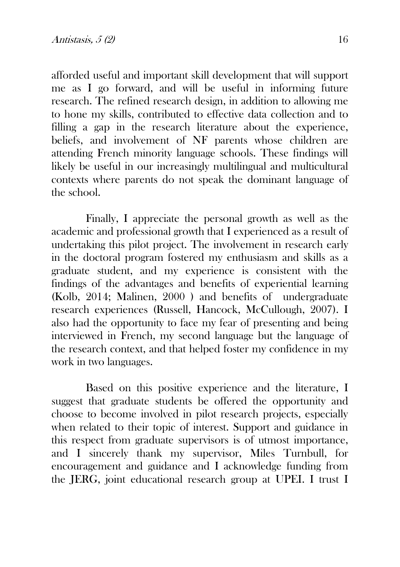afforded useful and important skill development that will support me as I go forward, and will be useful in informing future research. The refined research design, in addition to allowing me to hone my skills, contributed to effective data collection and to filling a gap in the research literature about the experience, beliefs, and involvement of NF parents whose children are attending French minority language schools. These findings will likely be useful in our increasingly multilingual and multicultural contexts where parents do not speak the dominant language of the school.

Finally, I appreciate the personal growth as well as the academic and professional growth that I experienced as a result of undertaking this pilot project. The involvement in research early in the doctoral program fostered my enthusiasm and skills as a graduate student, and my experience is consistent with the findings of the advantages and benefits of experiential learning (Kolb, 2014; Malinen, 2000 ) and benefits of undergraduate research experiences (Russell, Hancock, McCullough, 2007). I also had the opportunity to face my fear of presenting and being interviewed in French, my second language but the language of the research context, and that helped foster my confidence in my work in two languages.

Based on this positive experience and the literature, I suggest that graduate students be offered the opportunity and choose to become involved in pilot research projects, especially when related to their topic of interest. Support and guidance in this respect from graduate supervisors is of utmost importance, and I sincerely thank my supervisor, Miles Turnbull, for encouragement and guidance and I acknowledge funding from the JERG, joint educational research group at UPEI. I trust I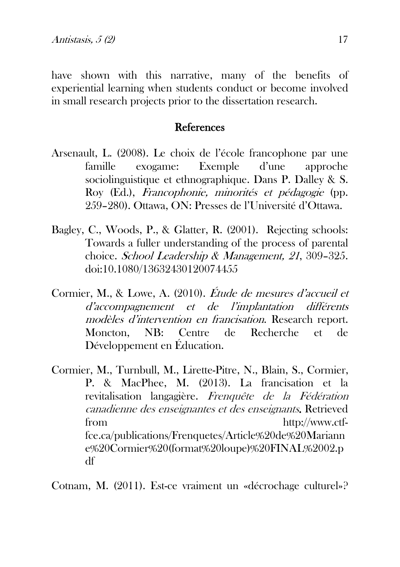have shown with this narrative, many of the benefits of experiential learning when students conduct or become involved in small research projects prior to the dissertation research.

# **References**

- Arsenault, L. (2008). Le choix de l'école francophone par une famille exogame: Exemple d'une approche sociolinguistique et ethnographique. Dans P. Dalley & S. Roy (Ed.), Francophonie, minorités et pédagogie (pp. 259–280). Ottawa, ON: Presses de l'Université d'Ottawa.
- Bagley, C., Woods, P., & Glatter, R. (2001). Rejecting schools: Towards a fuller understanding of the process of parental choice. School Leadership & Management, 21, 309–325. doi:10.1080/13632430120074455
- Cormier, M., & Lowe, A. (2010). Étude de mesures d'accueil et d'accompagnement et de l'implantation différents modèles d'intervention en francisation. Research report. Moncton, NB: Centre de Recherche et de Développement en Éducation.
- Cormier, M., Turnbull, M., Lirette-Pitre, N., Blain, S., Cormier, P. & MacPhee, M. (2013). La francisation et la revitalisation langagière. Frenquête de la Fédération canadienne des enseignantes et des enseignants. Retrieved from http://www.ctffce.ca/publications/Frenquetes/Article%20de%20Mariann e%20Cormier%20(format%20loupe)%20FINAL%2002.p df

Cotnam, M. (2011). Est-ce vraiment un «décrochage culturel»?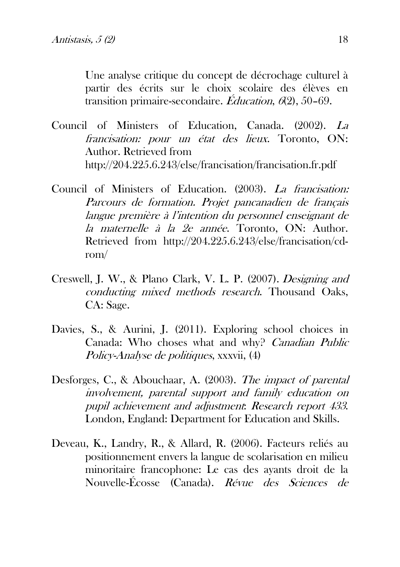Une analyse critique du concept de décrochage culturel à partir des écrits sur le choix scolaire des élèves en transition primaire-secondaire. Éducation,  $6(2)$ , 50–69.

- Council of Ministers of Education, Canada. (2002). La francisation: pour un état des lieux. Toronto, ON: Author. Retrieved from http://204.225.6.243/else/francisation/francisation.fr.pdf
- Council of Ministers of Education. (2003). La francisation: Parcours de formation. Projet pancanadien de français langue première à l'intention du personnel enseignant de la maternelle à la 2e année. Toronto, ON: Author. Retrieved from http://204.225.6.243/else/francisation/cdrom/
- Creswell, J. W., & Plano Clark, V. L. P. (2007). Designing and conducting mixed methods research. Thousand Oaks, CA: Sage.
- Davies, S., & Aurini, J. (2011). Exploring school choices in Canada: Who choses what and why? Canadian Public Policy-Analyse de politiques, xxxvii, (4)
- Desforges, C., & Abouchaar, A. (2003). The impact of parental involvement, parental support and family education on pupil achievement and adjustment: Research report 433. London, England: Department for Education and Skills.
- Deveau, K., Landry, R., & Allard, R. (2006). Facteurs reliés au positionnement envers la langue de scolarisation en milieu minoritaire francophone: Le cas des ayants droit de la Nouvelle-Écosse (Canada). Révue des Sciences de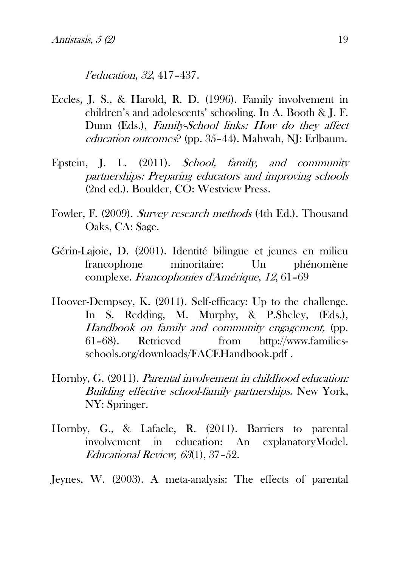l'education, 32, 417–437.

- Eccles, J. S., & Harold, R. D. (1996). Family involvement in children's and adolescents' schooling. In A. Booth & J. F. Dunn (Eds.), Family-School links: How do they affect education outcomes? (pp. 35–44). Mahwah, NJ: Erlbaum.
- Epstein, J. L. (2011). School, family, and community partnerships: Preparing educators and improving schools (2nd ed.). Boulder, CO: Westview Press.
- Fowler, F. (2009). Survey research methods (4th Ed.). Thousand Oaks, CA: Sage.
- Gérin-Lajoie, D. (2001). Identité bilingue et jeunes en milieu francophone minoritaire: Un phénomène complexe. Francophonies d'Amérique, 12, 61–69
- Hoover-Dempsey, K. (2011). Self-efficacy: Up to the challenge. In S. Redding, M. Murphy, & P.Sheley, (Eds.), Handbook on family and community engagement, (pp. 61–68). Retrieved from http://www.familiesschools.org/downloads/FACEHandbook.pdf .
- Hornby, G. (2011). Parental involvement in childhood education: Building effective school-family partnerships. New York, NY: Springer.
- Hornby, G., & Lafaele, R. (2011). Barriers to parental involvement in education: An explanatoryModel. Educational Review, 63(1), 37–52.
- Jeynes, W. (2003). A meta-analysis: The effects of parental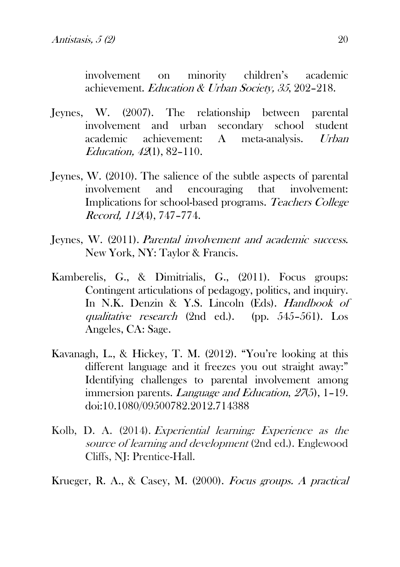involvement on minority children's academic achievement. Education & Urban Society, 35, 202–218.

- Jeynes, W. (2007). The relationship between parental involvement and urban secondary school student<br>academic achievement: A meta-analysis *Lirban* academic achievement: A meta-analysis. Urban Education, 42(1), 82–110.
- Jeynes, W. (2010). The salience of the subtle aspects of parental involvement and encouraging that involvement: Implications for school-based programs. Teachers College Record, 112(4), 747–774.
- Jeynes, W. (2011). Parental involvement and academic success. New York, NY: Taylor & Francis.
- Kamberelis, G., & Dimitrialis, G., (2011). Focus groups: Contingent articulations of pedagogy, politics, and inquiry. In N.K. Denzin & Y.S. Lincoln (Eds). *Handbook of* qualitative research (2nd ed.). (pp. 545–561). Los Angeles, CA: Sage.
- Kavanagh, L., & Hickey, T. M. (2012). "You're looking at this different language and it freezes you out straight away:" Identifying challenges to parental involvement among immersion parents. *Language and Education*, 27(5), 1-19. doi:10.1080/09500782.2012.714388
- Kolb, D. A. (2014). Experiential learning: Experience as the source of learning and development (2nd ed.). Englewood Cliffs, NJ: Prentice-Hall.

Krueger, R. A., & Casey, M. (2000). Focus groups. A practical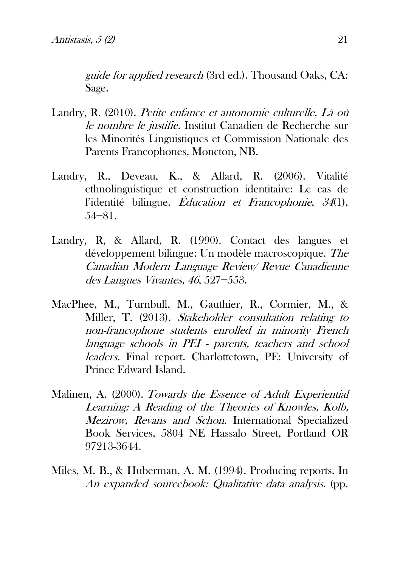guide for applied research (3rd ed.). Thousand Oaks, CA: Sage.

- Landry, R. (2010). [Petite enfance et autonomie culturelle. Là où](http://www.icrml.ca/images/stories/documents/fr/petite%20enfance-final%20rl_drrl.pdf)  [le nombre le justifie.](http://www.icrml.ca/images/stories/documents/fr/petite%20enfance-final%20rl_drrl.pdf) Institut Canadien de Recherche sur les Minorités Linguistiques et Commission Nationale des Parents Francophones, Moncton, NB.
- Landry, R., Deveau, K., & Allard, R. (2006). Vitalité ethnolinguistique et construction identitaire: Le cas de l'identité bilingue. Éducation et Francophonie, 34(1), 54−81.
- Landry, R, & Allard, R. (1990). Contact des langues et développement bilingue: Un modèle macroscopique. The Canadian Modern Language Review/ Revue Canadienne des Langues Vivantes, 46, 527−553.
- MacPhee, M., Turnbull, M., Gauthier, R., Cormier, M., & Miller, T. (2013). Stakeholder consultation relating to non-francophone students enrolled in minority French language schools in PEI - parents, teachers and school leaders. Final report. Charlottetown, PE: University of Prince Edward Island.
- Malinen, A. (2000). Towards the Essence of Adult Experiential Learning: A Reading of the Theories of Knowles, Kolb, Mezirow, Revans and Schon. International Specialized Book Services, 5804 NE Hassalo Street, Portland OR 97213-3644.
- Miles, M. B., & Huberman, A. M. (1994). Producing reports. In An expanded sourcebook: Qualitative data analysis. (pp.